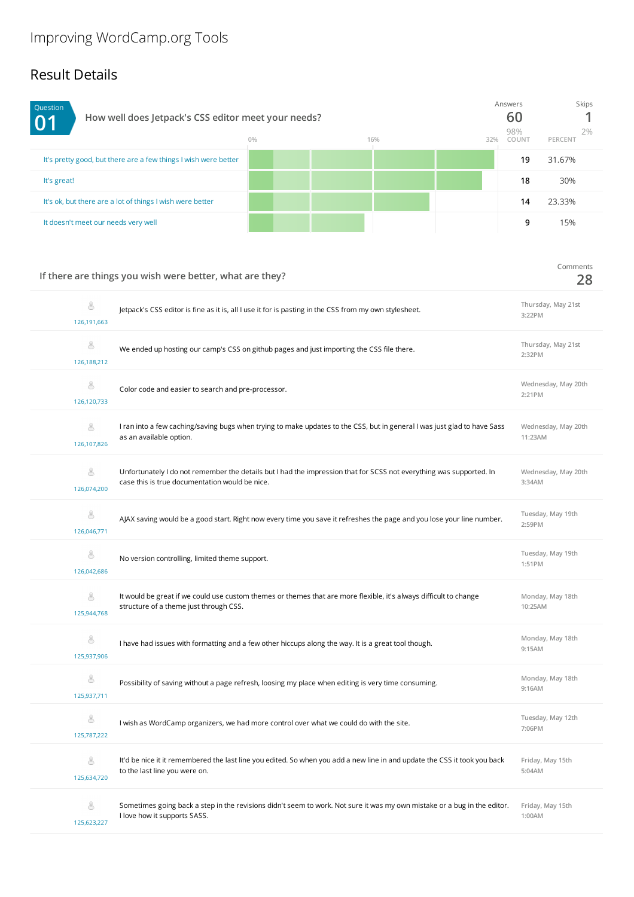## Result Details

| Question<br>0 <sub>1</sub>                                      | How well does Jetpack's CSS editor meet your needs?<br>$0\%$<br>16% |  |  |  |    | <b>Skips</b><br>2%<br>PERCENT |
|-----------------------------------------------------------------|---------------------------------------------------------------------|--|--|--|----|-------------------------------|
| It's pretty good, but there are a few things I wish were better |                                                                     |  |  |  | 19 | 31.67%                        |
| It's great!                                                     |                                                                     |  |  |  | 18 | 30%                           |
| It's ok, but there are a lot of things I wish were better       |                                                                     |  |  |  | 14 | 23.33%                        |
| It doesn't meet our needs very well                             |                                                                     |  |  |  | 9  | 15%                           |

|                  | If there are things you wish were better, what are they?                                                                                                              | Comments<br>28                 |
|------------------|-----------------------------------------------------------------------------------------------------------------------------------------------------------------------|--------------------------------|
| 8<br>126,191,663 | Jetpack's CSS editor is fine as it is, all I use it for is pasting in the CSS from my own stylesheet.                                                                 | Thursday, May 21st<br>3:22PM   |
| 8<br>126,188,212 | We ended up hosting our camp's CSS on github pages and just importing the CSS file there.                                                                             | Thursday, May 21st<br>2:32PM   |
| 8<br>126,120,733 | Color code and easier to search and pre-processor.                                                                                                                    | Wednesday, May 20th<br>2:21PM  |
| 8<br>126,107,826 | I ran into a few caching/saving bugs when trying to make updates to the CSS, but in general I was just glad to have Sass<br>as an available option.                   | Wednesday, May 20th<br>11:23AM |
| 8<br>126,074,200 | Unfortunately I do not remember the details but I had the impression that for SCSS not everything was supported. In<br>case this is true documentation would be nice. | Wednesday, May 20th<br>3:34AM  |
| 8<br>126,046,771 | AJAX saving would be a good start. Right now every time you save it refreshes the page and you lose your line number.                                                 | Tuesday, May 19th<br>2:59PM    |
| 8<br>126,042,686 | No version controlling, limited theme support.                                                                                                                        | Tuesday, May 19th<br>1:51PM    |
| 8<br>125,944,768 | It would be great if we could use custom themes or themes that are more flexible, it's always difficult to change<br>structure of a theme just through CSS.           | Monday, May 18th<br>10:25AM    |
| 8<br>125,937,906 | I have had issues with formatting and a few other hiccups along the way. It is a great tool though.                                                                   | Monday, May 18th<br>9:15AM     |
| 8<br>125,937,711 | Possibility of saving without a page refresh, loosing my place when editing is very time consuming.                                                                   | Monday, May 18th<br>9:16AM     |
| 8<br>125,787,222 | I wish as WordCamp organizers, we had more control over what we could do with the site.                                                                               | Tuesday, May 12th<br>7:06PM    |
| 8<br>125,634,720 | It'd be nice it it remembered the last line you edited. So when you add a new line in and update the CSS it took you back<br>to the last line you were on.            | Friday, May 15th<br>5:04AM     |
| 8<br>125,623,227 | Sometimes going back a step in the revisions didn't seem to work. Not sure it was my own mistake or a bug in the editor.<br>I love how it supports SASS.              | Friday, May 15th<br>1:00AM     |
|                  |                                                                                                                                                                       |                                |